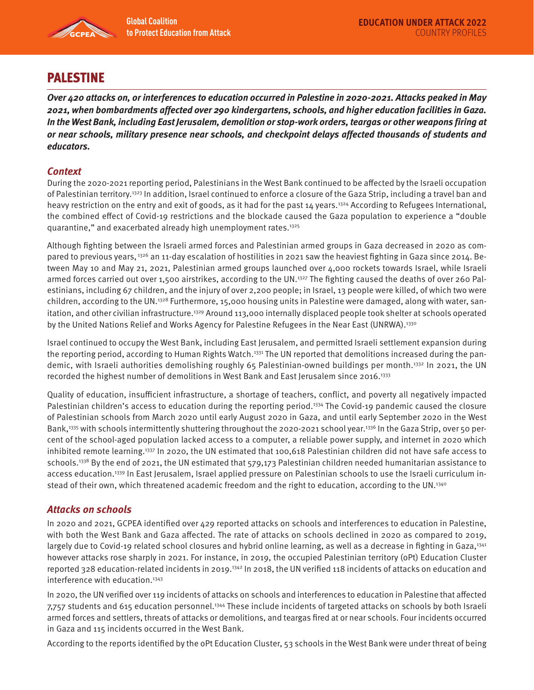

# PALESTINE

**Over 420 attacks on, or interferences to education occurred in Palestine in 2020-2021. Attacks peaked in May 2021, when bombardments affected over 290 kindergartens, schools, and higher education facilities in Gaza. In the West Bank, including East Jerusalem, demolition or stop-work orders, teargas or other weapons firing at or near schools, military presence near schools, and checkpoint delays affected thousands of students and educators.** 

## **Context**

During the 2020-2021 reporting period, Palestinians in the West Bank continued to be affected by the Israeli occupation of Palestinian territory.1323 In addition, Israel continued to enforce a closure of the Gaza Strip, including a travel ban and heavy restriction on the entry and exit of goods, as it had for the past 14 years.<sup>1324</sup> According to Refugees International, the combined effect of Covid-19 restrictions and the blockade caused the Gaza population to experience a "double quarantine," and exacerbated already high unemployment rates.1325

Although fighting between the Israeli armed forces and Palestinian armed groups in Gaza decreased in 2020 as compared to previous years, <sup>1326</sup> an 11-day escalation of hostilities in 2021 saw the heaviest fighting in Gaza since 2014. Between May 10 and May 21, 2021, Palestinian armed groups launched over 4,000 rockets towards Israel, while Israeli armed forces carried out over 1,500 airstrikes, according to the UN.<sup>1327</sup> The fighting caused the deaths of over 260 Palestinians, including 67 children, and the injury of over 2,200 people; in Israel, 13 people were killed, of which two were children, according to the UN.<sup>1328</sup> Furthermore, 15,000 housing units in Palestine were damaged, along with water, sanitation, and other civilian infrastructure.<sup>1329</sup> Around 113,000 internally displaced people took shelter at schools operated by the United Nations Relief and Works Agency for Palestine Refugees in the Near East (UNRWA).1330

Israel continued to occupy the West Bank, including East Jerusalem, and permitted Israeli settlement expansion during the reporting period, according to Human Rights Watch.<sup>1331</sup> The UN reported that demolitions increased during the pandemic, with Israeli authorities demolishing roughly 65 Palestinian-owned buildings per month.<sup>1332</sup> In 2021, the UN recorded the highest number of demolitions in West Bank and East Jerusalem since 2016.1333

Quality of education, insufficient infrastructure, a shortage of teachers, conflict, and poverty all negatively impacted Palestinian children's access to education during the reporting period.<sup>1334</sup> The Covid-19 pandemic caused the closure of Palestinian schools from March 2020 until early August 2020 in Gaza, and until early September 2020 in the West Bank,<sup>1335</sup> with schools intermittently shuttering throughout the 2020-2021 school year.<sup>1336</sup> In the Gaza Strip, over 50 percent of the school-aged population lacked access to a computer, a reliable power supply, and internet in 2020 which inhibited remote learning.1337 In 2020, the UN estimated that 100,618 Palestinian children did not have safe access to schools.<sup>1338</sup> By the end of 2021, the UN estimated that 579,173 Palestinian children needed humanitarian assistance to access education.1339 In East Jerusalem, Israel applied pressure on Palestinian schools to use the Israeli curriculum instead of their own, which threatened academic freedom and the right to education, according to the UN.1340

# **Attacks on schools**

In 2020 and 2021, GCPEA identified over 429 reported attacks on schools and interferences to education in Palestine, with both the West Bank and Gaza affected. The rate of attacks on schools declined in 2020 as compared to 2019, largely due to Covid-19 related school closures and hybrid online learning, as well as a decrease in fighting in Gaza,<sup>1341</sup> however attacks rose sharply in 2021. For instance, in 2019, the occupied Palestinian territory (oPt) Education Cluster reported 328 education-related incidents in 2019.1342 In 2018, the UN verified 118 incidents of attacks on education and interference with education.<sup>1343</sup>

In 2020, the UN verified over 119 incidents of attacks on schools and interferences to education in Palestine that affected 7,757 students and 615 education personnel.1344 These include incidents of targeted attacks on schools by both Israeli armed forces and settlers, threats of attacks or demolitions, and teargas fired at or near schools. Four incidents occurred in Gaza and 115 incidents occurred in the West Bank.

According to the reports identified by the oPt Education Cluster, 53 schools in the West Bank were under threat of being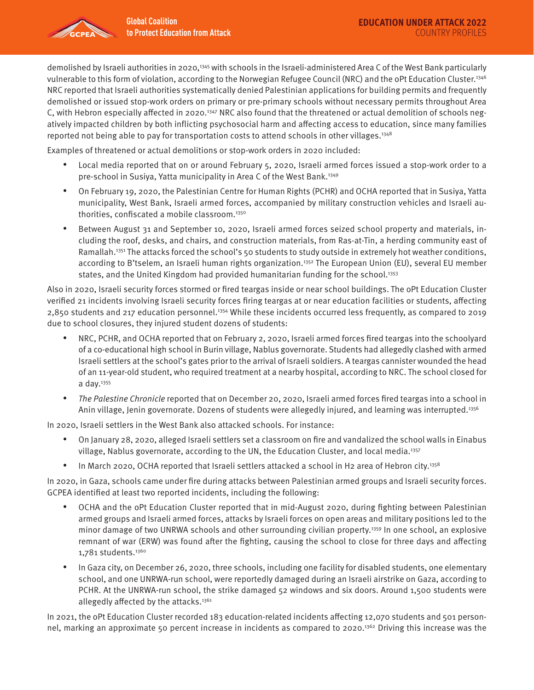

Examples of threatened or actual demolitions or stop-work orders in 2020 included:

- Local media reported that on or around February 5, 2020, Israeli armed forces issued a stop-work order to a pre-school in Susiya, Yatta municipality in Area C of the West Bank.1349
- On February 19, 2020, the Palestinian Centre for Human Rights (PCHR) and OCHA reported that in Susiya, Yatta municipality, West Bank, Israeli armed forces, accompanied by military construction vehicles and Israeli authorities, confiscated a mobile classroom.<sup>1350</sup>
- Between August 31 and September 10, 2020, Israeli armed forces seized school property and materials, including the roof, desks, and chairs, and construction materials, from Ras-at-Tin, a herding community east of Ramallah.<sup>1351</sup> The attacks forced the school's 50 students to study outside in extremely hot weather conditions, according to B'tselem, an Israeli human rights organization.<sup>1352</sup> The European Union (EU), several EU member states, and the United Kingdom had provided humanitarian funding for the school.<sup>1353</sup>

Also in 2020, Israeli security forces stormed or fired teargas inside or near school buildings. The oPt Education Cluster verified 21 incidents involving Israeli security forces firing teargas at or near education facilities or students, affecting 2,850 students and 217 education personnel.1354 While these incidents occurred less frequently, as compared to 2019 due to school closures, they injured student dozens of students:

- NRC, PCHR, and OCHA reported that on February 2, 2020, Israeli armed forces fired teargas into the schoolyard of a co-educational high school in Burin village, Nablus governorate. Students had allegedly clashed with armed Israeli settlers at the school's gates prior to the arrival of Israeli soldiers. A teargas cannister wounded the head of an 11-year-old student, who required treatment at a nearby hospital, according to NRC. The school closed for a day.1355
- The Palestine Chronicle reported that on December 20, 2020, Israeli armed forces fired teargas into a school in Anin village, Jenin governorate. Dozens of students were allegedly injured, and learning was interrupted.<sup>1356</sup>

In 2020, Israeli settlers in the West Bank also attacked schools. For instance:

- On January 28, 2020, alleged Israeli settlers set a classroom on fire and vandalized the school walls in Einabus village, Nablus governorate, according to the UN, the Education Cluster, and local media.<sup>1357</sup>
- In March 2020, OCHA reported that Israeli settlers attacked a school in H2 area of Hebron city.<sup>1358</sup>

In 2020, in Gaza, schools came under fire during attacks between Palestinian armed groups and Israeli security forces. GCPEA identified at least two reported incidents, including the following:

- OCHA and the oPt Education Cluster reported that in mid-August 2020, during fighting between Palestinian armed groups and Israeli armed forces, attacks by Israeli forces on open areas and military positions led to the minor damage of two UNRWA schools and other surrounding civilian property.1359 In one school, an explosive remnant of war (ERW) was found after the fighting, causing the school to close for three days and affecting 1,781 students.1360
- In Gaza city, on December 26, 2020, three schools, including one facility for disabled students, one elementary school, and one UNRWA-run school, were reportedly damaged during an Israeli airstrike on Gaza, according to PCHR. At the UNRWA-run school, the strike damaged 52 windows and six doors. Around 1,500 students were allegedly affected by the attacks.<sup>1361</sup>

In 2021, the oPt Education Cluster recorded 183 education-related incidents affecting 12,070 students and 501 personnel, marking an approximate 50 percent increase in incidents as compared to 2020.1362 Driving this increase was the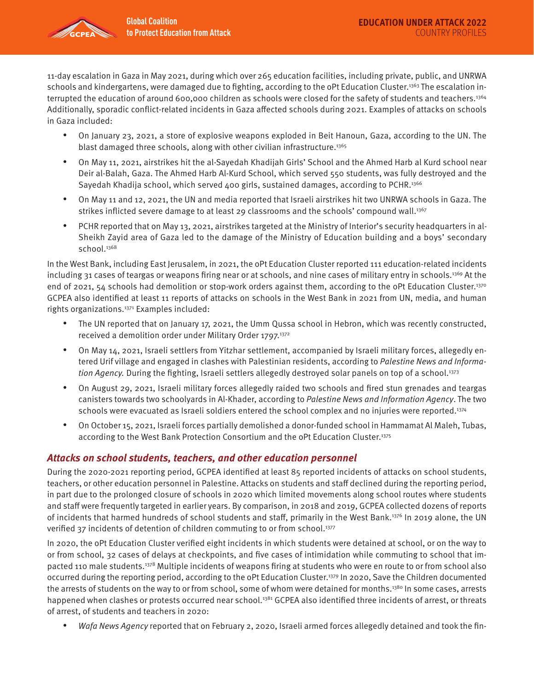

11-day escalation in Gaza in May 2021, during which over 265 education facilities, including private, public, and UNRWA schools and kindergartens, were damaged due to fighting, according to the oPt Education Cluster.<sup>1363</sup> The escalation interrupted the education of around 600,000 children as schools were closed for the safety of students and teachers.1364 Additionally, sporadic conflict-related incidents in Gaza affected schools during 2021. Examples of attacks on schools in Gaza included:

- On January 23, 2021, a store of explosive weapons exploded in Beit Hanoun, Gaza, according to the UN. The blast damaged three schools, along with other civilian infrastructure.<sup>1365</sup>
- On May 11, 2021, airstrikes hit the al-Sayedah Khadijah Girls' School and the Ahmed Harb al Kurd school near Deir al-Balah, Gaza. The Ahmed Harb Al-Kurd School, which served 550 students, was fully destroyed and the Sayedah Khadija school, which served 400 girls, sustained damages, according to PCHR.1366
- On May 11 and 12, 2021, the UN and media reported that Israeli airstrikes hit two UNRWA schools in Gaza. The strikes inflicted severe damage to at least 29 classrooms and the schools' compound wall.<sup>1367</sup>
- PCHR reported that on May 13, 2021, airstrikes targeted at the Ministry of Interior's security headquarters in al-Sheikh Zayid area of Gaza led to the damage of the Ministry of Education building and a boys' secondary school.<sup>1368</sup>

In the West Bank, including East Jerusalem, in 2021, the oPt Education Cluster reported 111 education-related incidents including 31 cases of teargas or weapons firing near or at schools, and nine cases of military entry in schools.1369 At the end of 2021, 54 schools had demolition or stop-work orders against them, according to the oPt Education Cluster.<sup>1370</sup> GCPEA also identified at least 11 reports of attacks on schools in the West Bank in 2021 from UN, media, and human rights organizations.1371 Examples included:

- The UN reported that on January 17, 2021, the Umm Qussa school in Hebron, which was recently constructed, received a demolition order under Military Order 1797.<sup>1372</sup>
- On May 14, 2021, Israeli settlers from Yitzhar settlement, accompanied by Israeli military forces, allegedly entered Urif village and engaged in clashes with Palestinian residents, according to Palestine News and Information Agency. During the fighting, Israeli settlers allegedly destroyed solar panels on top of a school.<sup>1373</sup>
- On August 29, 2021, Israeli military forces allegedly raided two schools and fired stun grenades and teargas canisters towards two schoolyards in Al-Khader, according to Palestine News and Information Agency. The two schools were evacuated as Israeli soldiers entered the school complex and no injuries were reported.<sup>1374</sup>
- On October 15, 2021, Israeli forces partially demolished a donor-funded school in Hammamat Al Maleh, Tubas, according to the West Bank Protection Consortium and the oPt Education Cluster.1375

#### **Attacks on school students, teachers, and other education personnel**

During the 2020-2021 reporting period, GCPEA identified at least 85 reported incidents of attacks on school students, teachers, or other education personnel in Palestine. Attacks on students and staff declined during the reporting period, in part due to the prolonged closure of schools in 2020 which limited movements along school routes where students and staff were frequently targeted in earlier years. By comparison, in 2018 and 2019, GCPEA collected dozens of reports of incidents that harmed hundreds of school students and staff, primarily in the West Bank.1376 In 2019 alone, the UN verified 37 incidents of detention of children commuting to or from school.<sup>1377</sup>

In 2020, the oPt Education Cluster verified eight incidents in which students were detained at school, or on the way to or from school, 32 cases of delays at checkpoints, and five cases of intimidation while commuting to school that impacted 110 male students.1378 Multiple incidents of weapons firing at students who were en route to or from school also occurred during the reporting period, according to the oPt Education Cluster.1379 In 2020, Save the Children documented the arrests of students on the way to or from school, some of whom were detained for months.<sup>1380</sup> In some cases, arrests happened when clashes or protests occurred near school.<sup>1381</sup> GCPEA also identified three incidents of arrest, or threats of arrest, of students and teachers in 2020:

Wafa News Agency reported that on February 2, 2020, Israeli armed forces allegedly detained and took the fin-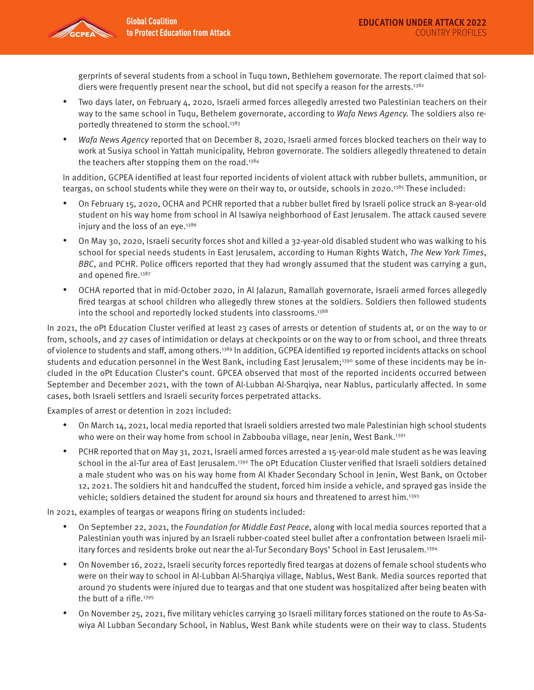

gerprints of several students from a school in Tuqu town, Bethlehem governorate. The report claimed that soldiers were frequently present near the school, but did not specify a reason for the arrests.<sup>1382</sup>

- Two days later, on February 4, 2020, Israeli armed forces allegedly arrested two Palestinian teachers on their way to the same school in Tuqu, Bethelem governorate, according to Wafa News Agency. The soldiers also reportedly threatened to storm the school.<sup>1383</sup>
- Wafa News Agency reported that on December 8, 2020, Israeli armed forces blocked teachers on their way to work at Susiya school in Yattah municipality, Hebron governorate. The soldiers allegedly threatened to detain the teachers after stopping them on the road.<sup>1384</sup>

In addition, GCPEA identified at least four reported incidents of violent attack with rubber bullets, ammunition, or teargas, on school students while they were on their way to, or outside, schools in 2020.1385 These included:

- On February 15, 2020, OCHA and PCHR reported that a rubber bullet fired by Israeli police struck an 8-year-old student on his way home from school in Al Isawiya neighborhood of East Jerusalem. The attack caused severe injury and the loss of an eye.<sup>1386</sup>
- On May 30, 2020, Israeli security forces shot and killed a 32-year-old disabled student who was walking to his school for special needs students in East Jerusalem, according to Human Rights Watch, The New York Times, BBC, and PCHR. Police officers reported that they had wrongly assumed that the student was carrying a gun, and opened fire.<sup>1387</sup>
- OCHA reported that in mid-October 2020, in Al Jalazun, Ramallah governorate, Israeli armed forces allegedly fired teargas at school children who allegedly threw stones at the soldiers. Soldiers then followed students into the school and reportedly locked students into classrooms.<sup>1388</sup>

In 2021, the oPt Education Cluster verified at least 23 cases of arrests or detention of students at, or on the way to or from, schools, and 27 cases of intimidation or delays at checkpoints or on the way to or from school, and three threats of violence to students and staff, among others.1389 In addition, GCPEA identified 19 reported incidents attacks on school students and education personnel in the West Bank, including East Jerusalem;<sup>1390</sup> some of these incidents may be included in the oPt Education Cluster's count. GPCEA observed that most of the reported incidents occurred between September and December 2021, with the town of Al-Lubban Al-Sharqiya, near Nablus, particularly affected. In some cases, both Israeli settlers and Israeli security forces perpetrated attacks.

Examples of arrest or detention in 2021 included:

- On March 14, 2021, local media reported that Israeli soldiers arrested two male Palestinian high school students who were on their way home from school in Zabbouba village, near Jenin, West Bank.<sup>1391</sup>
- PCHR reported that on May 31, 2021, Israeli armed forces arrested a 15-year-old male student as he was leaving school in the al-Tur area of East Jerusalem.<sup>1392</sup> The oPt Education Cluster verified that Israeli soldiers detained a male student who was on his way home from Al Khader Secondary School in Jenin, West Bank, on October 12, 2021. The soldiers hit and handcuffed the student, forced him inside a vehicle, and sprayed gas inside the vehicle; soldiers detained the student for around six hours and threatened to arrest him.1393

In 2021, examples of teargas or weapons firing on students included:

- On September 22, 2021, the Foundation for Middle East Peace, along with local media sources reported that a Palestinian youth was injured by an Israeli rubber-coated steel bullet after a confrontation between Israeli military forces and residents broke out near the al-Tur Secondary Boys' School in East Jerusalem.1394
- On November 16, 2022, Israeli security forces reportedly fired teargas at dozens of female school students who were on their way to school in Al-Lubban Al-Sharqiya village, Nablus, West Bank. Media sources reported that around 70 students were injured due to teargas and that one student was hospitalized after being beaten with the butt of a rifle.<sup>1395</sup>
- On November 25, 2021, five military vehicles carrying 30 Israeli military forces stationed on the route to As-Sawiya Al Lubban Secondary School, in Nablus, West Bank while students were on their way to class. Students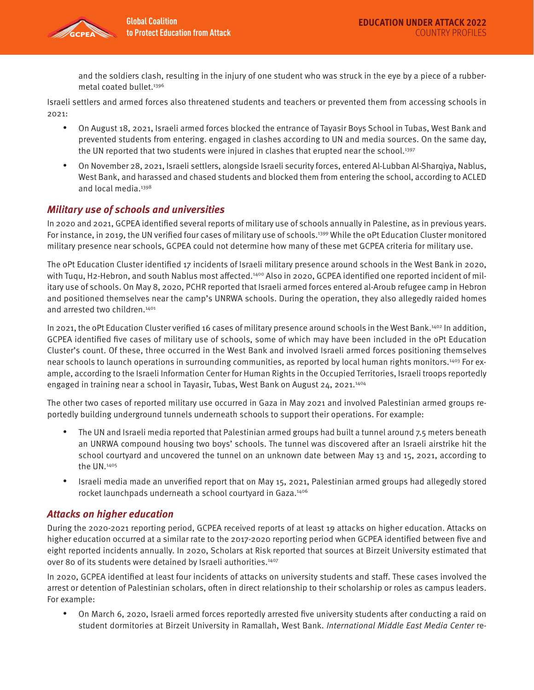

and the soldiers clash, resulting in the injury of one student who was struck in the eye by a piece of a rubbermetal coated bullet.<sup>1396</sup>

Israeli settlers and armed forces also threatened students and teachers or prevented them from accessing schools in 2021:

- On August 18, 2021, Israeli armed forces blocked the entrance of Tayasir Boys School in Tubas, West Bank and prevented students from entering. engaged in clashes according to UN and media sources. On the same day, the UN reported that two students were injured in clashes that erupted near the school. $1397$
- On November 28, 2021, Israeli settlers, alongside Israeli security forces, entered Al-Lubban Al-Sharqiya, Nablus, West Bank, and harassed and chased students and blocked them from entering the school, according to ACLED and local media.<sup>1398</sup>

## **Military use of schools and universities**

In 2020 and 2021, GCPEA identified several reports of military use of schools annually in Palestine, as in previous years. For instance, in 2019, the UN verified four cases of military use of schools.<sup>1399</sup> While the oPt Education Cluster monitored military presence near schools, GCPEA could not determine how many of these met GCPEA criteria for military use.

The oPt Education Cluster identified 17 incidents of Israeli military presence around schools in the West Bank in 2020, with Tuqu, H2-Hebron, and south Nablus most affected.<sup>1400</sup> Also in 2020, GCPEA identified one reported incident of military use of schools. On May 8, 2020, PCHR reported that Israeli armed forces entered al-Aroub refugee camp in Hebron and positioned themselves near the camp's UNRWA schools. During the operation, they also allegedly raided homes and arrested two children.<sup>1401</sup>

In 2021, the oPt Education Cluster verified 16 cases of military presence around schools in the West Bank.1402 In addition, GCPEA identified five cases of military use of schools, some of which may have been included in the oPt Education Cluster's count. Of these, three occurred in the West Bank and involved Israeli armed forces positioning themselves near schools to launch operations in surrounding communities, as reported by local human rights monitors.1403 For example, according to the Israeli Information Center for Human Rights in the Occupied Territories, Israeli troops reportedly engaged in training near a school in Tayasir, Tubas, West Bank on August 24, 2021.<sup>1404</sup>

The other two cases of reported military use occurred in Gaza in May 2021 and involved Palestinian armed groups reportedly building underground tunnels underneath schools to support their operations. For example:

- The UN and Israeli media reported that Palestinian armed groups had built a tunnel around 7.5 meters beneath an UNRWA compound housing two boys' schools. The tunnel was discovered after an Israeli airstrike hit the school courtyard and uncovered the tunnel on an unknown date between May 13 and 15, 2021, according to the UN.1405
- Israeli media made an unverified report that on May 15, 2021, Palestinian armed groups had allegedly stored rocket launchpads underneath a school courtyard in Gaza.<sup>1406</sup>

# **Attacks on higher education**

During the 2020-2021 reporting period, GCPEA received reports of at least 19 attacks on higher education. Attacks on higher education occurred at a similar rate to the 2017-2020 reporting period when GCPEA identified between five and eight reported incidents annually. In 2020, Scholars at Risk reported that sources at Birzeit University estimated that over 80 of its students were detained by Israeli authorities.<sup>1407</sup>

In 2020, GCPEA identified at least four incidents of attacks on university students and staff. These cases involved the arrest or detention of Palestinian scholars, often in direct relationship to their scholarship or roles as campus leaders. For example:

• On March 6, 2020, Israeli armed forces reportedly arrested five university students after conducting a raid on student dormitories at Birzeit University in Ramallah, West Bank. International Middle East Media Center re-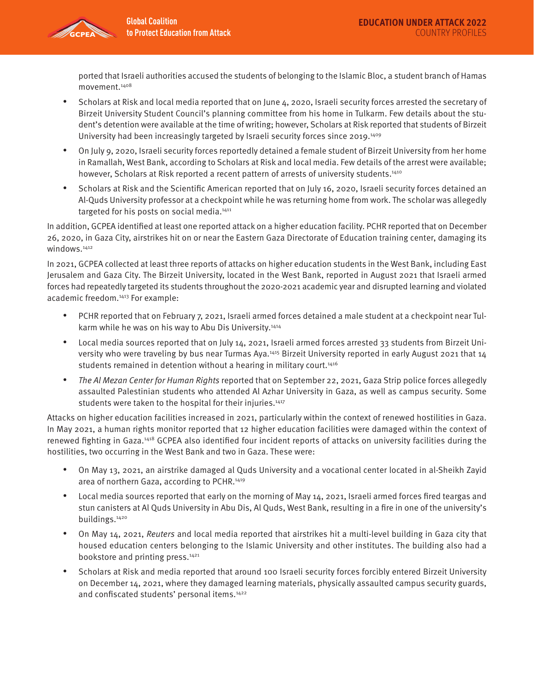

ported that Israeli authorities accused the students of belonging to the Islamic Bloc, a student branch of Hamas movement.1408

- Scholars at Risk and local media reported that on June 4, 2020, Israeli security forces arrested the secretary of Birzeit University Student Council's planning committee from his home in Tulkarm. Few details about the student's detention were available at the time of writing; however, Scholars at Risk reported that students of Birzeit University had been increasingly targeted by Israeli security forces since 2019.<sup>1409</sup>
- On July 9, 2020, Israeli security forces reportedly detained a female student of Birzeit University from her home in Ramallah, West Bank, according to Scholars at Risk and local media. Few details of the arrest were available; however, Scholars at Risk reported a recent pattern of arrests of university students.<sup>1410</sup>
- Scholars at Risk and the Scientific American reported that on July 16, 2020, Israeli security forces detained an Al-Quds University professor at a checkpoint while he was returning home from work. The scholar was allegedly targeted for his posts on social media.<sup>1411</sup>

In addition, GCPEA identified at least one reported attack on a higher education facility. PCHR reported that on December 26, 2020, in Gaza City, airstrikes hit on or near the Eastern Gaza Directorate of Education training center, damaging its windows.<sup>1412</sup>

In 2021, GCPEA collected at least three reports of attacks on higher education students in the West Bank, including East Jerusalem and Gaza City. The Birzeit University, located in the West Bank, reported in August 2021 that Israeli armed forces had repeatedly targeted its students throughout the 2020-2021 academic year and disrupted learning and violated academic freedom.1413 For example:

- PCHR reported that on February 7, 2021, Israeli armed forces detained a male student at a checkpoint near Tulkarm while he was on his way to Abu Dis University.1414
- Local media sources reported that on July 14, 2021, Israeli armed forces arrested 33 students from Birzeit University who were traveling by bus near Turmas Aya.<sup>1415</sup> Birzeit University reported in early August 2021 that 14 students remained in detention without a hearing in military court.<sup>1416</sup>
- The Al Mezan Center for Human Rights reported that on September 22, 2021, Gaza Strip police forces allegedly assaulted Palestinian students who attended Al Azhar University in Gaza, as well as campus security. Some students were taken to the hospital for their injuries.<sup>1417</sup>

Attacks on higher education facilities increased in 2021, particularly within the context of renewed hostilities in Gaza. In May 2021, a human rights monitor reported that 12 higher education facilities were damaged within the context of renewed fighting in Gaza.1418 GCPEA also identified four incident reports of attacks on university facilities during the hostilities, two occurring in the West Bank and two in Gaza. These were:

- On May 13, 2021, an airstrike damaged al Quds University and a vocational center located in al-Sheikh Zayid area of northern Gaza, according to PCHR.1419
- Local media sources reported that early on the morning of May 14, 2021, Israeli armed forces fired teargas and stun canisters at Al Quds University in Abu Dis, Al Quds, West Bank, resulting in a fire in one of the university's buildings.1420
- On May 14, 2021, Reuters and local media reported that airstrikes hit a multi-level building in Gaza city that housed education centers belonging to the Islamic University and other institutes. The building also had a bookstore and printing press.<sup>1421</sup>
- Scholars at Risk and media reported that around 100 Israeli security forces forcibly entered Birzeit University on December 14, 2021, where they damaged learning materials, physically assaulted campus security guards, and confiscated students' personal items.<sup>1422</sup>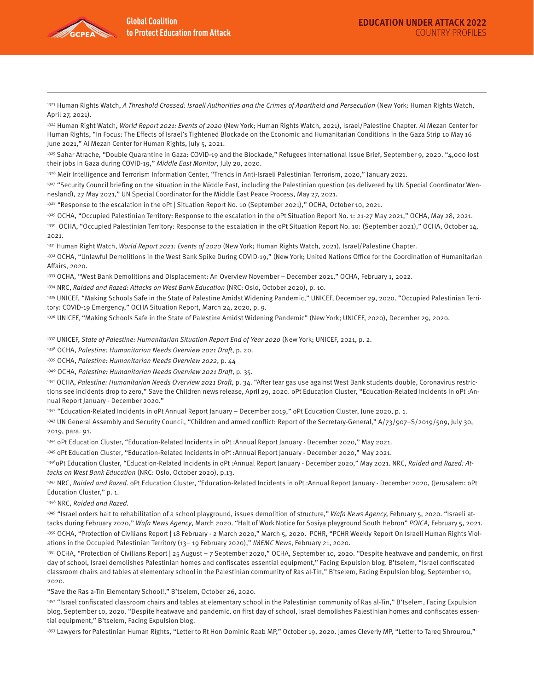

1323 Human Rights Watch, A Threshold Crossed: Israeli Authorities and the Crimes of Apartheid and Persecution (New York: Human Rights Watch, April 27, 2021).

1324 Human Right Watch, World Report 2021: Events of 2020 (New York; Human Rights Watch, 2021), Israel/Palestine Chapter. Al Mezan Center for Human Rights, "In Focus: The Effects of Israel's Tightened Blockade on the Economic and Humanitarian Conditions in the Gaza Strip 10 May 16 June 2021," Al Mezan Center for Human Rights, July 5, 2021.

1325 Sahar Atrache, "Double Quarantine in Gaza: COVID-19 and the Blockade," Refugees International Issue Brief, September 9, 2020. "4,000 lost their jobs in Gaza during COVID-19," Middle East Monitor, July 20, 2020.

1326 Meir Intelligence and Terrorism Information Center, "Trends in Anti-Israeli Palestinian Terrorism, 2020," January 2021.

1327 "Security Council briefing on the situation in the Middle East, including the Palestinian question (as delivered by UN Special Coordinator Wennesland), 27 May 2021," UN Special Coordinator for the Middle East Peace Process, May 27, 2021.

1328 "Response to the escalation in the oPt | Situation Report No. 10 (September 2021)," OCHA, October 10, 2021.

1329 OCHA, "Occupied Palestinian Territory: Response to the escalation in the oPt Situation Report No. 1: 21-27 May 2021," OCHA, May 28, 2021.

1330 OCHA, "Occupied Palestinian Territory: Response to the escalation in the oPt Situation Report No. 10: (September 2021)," OCHA, October 14, 2021.

1331 Human Right Watch, World Report 2021: Events of 2020 (New York; Human Rights Watch, 2021), Israel/Palestine Chapter.

1332 OCHA, "Unlawful Demolitions in the West Bank Spike During COVID-19," (New York; United Nations Office for the Coordination of Humanitarian Affairs, 2020.

1333 OCHA, "West Bank Demolitions and Displacement: An Overview November – December 2021," OCHA, February 1, 2022.

1334 NRC, Raided and Razed: Attacks on West Bank Education (NRC: Oslo, October 2020), p. 10.

1335 UNICEF, "Making Schools Safe in the State of Palestine Amidst Widening Pandemic," UNICEF, December 29, 2020. "Occupied Palestinian Territory: COVID-19 Emergency," OCHA Situation Report, March 24, 2020, p. 9.

1336 UNICEF, "Making Schools Safe in the State of Palestine Amidst Widening Pandemic" (New York; UNICEF, 2020), December 29, 2020.

1337 UNICEF, State of Palestine: Humanitarian Situation Report End of Year 2020 (New York; UNICEF, 2021, p. 2.

1338 OCHA, Palestine: Humanitarian Needs Overview 2021 Draft, p. 20.

1339 OCHA, Palestine: Humanitarian Needs Overview 2022, p. 44

1340 OCHA, Palestine: Humanitarian Needs Overview 2021 Draft, p. 35.

1341 OCHA, Palestine: Humanitarian Needs Overview 2021 Draft, p. 34. "After tear gas use against West Bank students double, Coronavirus restrictions see incidents drop to zero," Save the Children news release, April 29, 2020. oPt Education Cluster, "Education-Related Incidents in oPt :Annual Report January - December 2020."

1342 "Education-Related Incidents in oPt Annual Report January - December 2019," oPt Education Cluster, June 2020, p. 1.

1343 UN General Assembly and Security Council, "Children and armed conflict: Report of the Secretary-General," A/73/907-S/2019/509, July 30, 2019, para. 91.

1344 oPt Education Cluster, "Education-Related Incidents in oPt :Annual Report January - December 2020," May 2021.

1345 oPt Education Cluster, "Education-Related Incidents in oPt :Annual Report January - December 2020," May 2021.

1346 oPt Education Cluster, "Education-Related Incidents in oPt: Annual Report January - December 2020," May 2021. NRC, Raided and Razed: Attacks on West Bank Education (NRC: Oslo, October 2020), p.13.

1347 NRC, Raided and Razed. oPt Education Cluster, "Education-Related Incidents in oPt: Annual Report January - December 2020, (Jerusalem: oPt Education Cluster," p. 1.

1348 NRC, Raided and Razed.

<sup>1349</sup> "Israel orders halt to rehabilitation of a school playground, issues demolition of structure," Wafa News Agency, February 5, 2020. "Israeli attacks during February 2020," Wafa News Agency, March 2020. "Halt of Work Notice for Sosiya playground South Hebron" POICA, February 5, 2021. 1350 OCHA, "Protection of Civilians Report | 18 February - 2 March 2020," March 5, 2020. PCHR, "PCHR Weekly Report On Israeli Human Rights Violations in the Occupied Palestinian Territory (13– 19 February 2020)," IMEMC News, February 21, 2020.

1351 OCHA, "Protection of Civilians Report | 25 August – 7 September 2020," OCHA, September 10, 2020. "Despite heatwave and pandemic, on first day of school, Israel demolishes Palestinian homes and confiscates essential equipment," Facing Expulsion blog. B'tselem, "Israel confiscated classroom chairs and tables at elementary school in the Palestinian community of Ras al-Tin," B'tselem, Facing Expulsion blog, September 10, 2020.

"Save the Ras a-Tin Elementary School!," B'tselem, October 26, 2020.

1352 "Israel confiscated classroom chairs and tables at elementary school in the Palestinian community of Ras al-Tin," B'tselem, Facing Expulsion blog, September 10, 2020. "Despite heatwave and pandemic, on first day of school, Israel demolishes Palestinian homes and confiscates essential equipment," B'tselem, Facing Expulsion blog.

1353 Lawyers for Palestinian Human Rights, "Letter to Rt Hon Dominic Raab MP," October 19, 2020. James Cleverly MP, "Letter to Tareq Shrourou,"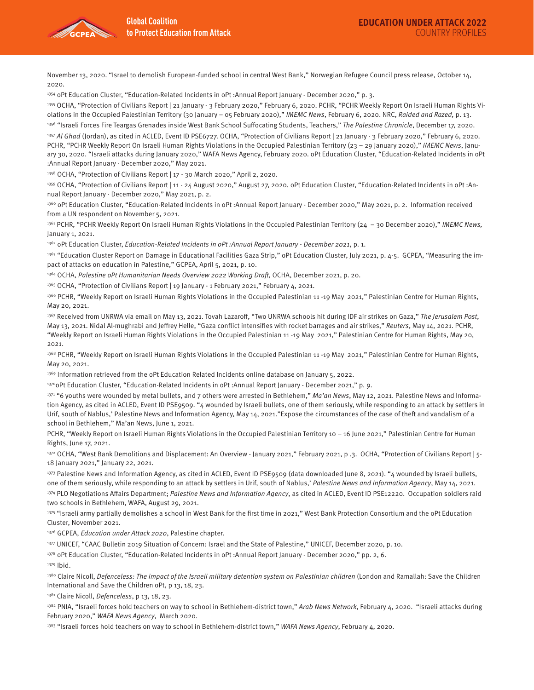

November 13, 2020. "Israel to demolish European-funded school in central West Bank," Norwegian Refugee Council press release, October 14, 2020.

1354 oPt Education Cluster, "Education-Related Incidents in oPt :Annual Report January - December 2020," p. 3.

1355 OCHA, "Protection of Civilians Report | 21 January - 3 February 2020," February 6, 2020. PCHR, "PCHR Weekly Report On Israeli Human Rights Violations in the Occupied Palestinian Territory (30 January – 05 February 2020)," IMEMC News, February 6, 2020. NRC, Raided and Razed, p. 13.

<sup>1356</sup> "Israeli Forces Fire Teargas Grenades inside West Bank School Suffocating Students, Teachers," The Palestine Chronicle, December 17, 2020. <sup>1357</sup> Al Ghad (Jordan), as cited in ACLED, Event ID PSE6727. OCHA, "Protection of Civilians Report | 21 January - 3 February 2020," February 6, 2020. PCHR, "PCHR Weekly Report On Israeli Human Rights Violations in the Occupied Palestinian Territory (23 - 29 January 2020)," IMEMC News, January 30, 2020. "Israeli attacks during January 2020," WAFA News Agency, February 2020. oPt Education Cluster, "Education-Related Incidents in oPt :Annual Report January - December 2020," May 2021.

1358 OCHA, "Protection of Civilians Report | 17 - 30 March 2020," April 2, 2020.

1359 OCHA, "Protection of Civilians Report | 11 - 24 August 2020," August 27, 2020. oPt Education Cluster, "Education-Related Incidents in oPt :Annual Report January - December 2020," May 2021, p. 2.

1360 oPt Education Cluster, "Education-Related Incidents in oPt :Annual Report January - December 2020," May 2021, p. 2. Information received from a UN respondent on November 5, 2021.

<sup>1361</sup> PCHR, "PCHR Weekly Report On Israeli Human Rights Violations in the Occupied Palestinian Territory (24 – 30 December 2020)," IMEMC News, January 1, 2021.

1362 oPt Education Cluster, Education-Related Incidents in oPt : Annual Report January - December 2021, p. 1.

1363 "Education Cluster Report on Damage in Educational Facilities Gaza Strip," oPt Education Cluster, July 2021, p. 4-5. GCPEA, "Measuring the impact of attacks on education in Palestine," GCPEA, April 5, 2021, p. 10.

1364 OCHA, Palestine oPt Humanitarian Needs Overview 2022 Working Draft, OCHA, December 2021, p. 20.

1365 OCHA, "Protection of Civilians Report | 19 January - 1 February 2021," February 4, 2021.

1366 PCHR, "Weekly Report on Israeli Human Rights Violations in the Occupied Palestinian 11 -19 May 2021," Palestinian Centre for Human Rights, May 20, 2021.

1367 Received from UNRWA via email on May 13, 2021. Tovah Lazaroff, "Two UNRWA schools hit during IDF air strikes on Gaza," The Jerusalem Post, May 13, 2021. Nidal Al-mughrabi and Jeffrey Helle, "Gaza conflict intensifies with rocket barrages and air strikes," Reuters, May 14, 2021. PCHR, "Weekly Report on Israeli Human Rights Violations in the Occupied Palestinian 11 -19 May 2021," Palestinian Centre for Human Rights, May 20, 2021.

<sup>1368</sup> PCHR, "Weekly Report on Israeli Human Rights Violations in the Occupied Palestinian 11 -19 May 2021," Palestinian Centre for Human Rights, May 20, 2021.

1369 Information retrieved from the oPt Education Related Incidents online database on January 5, 2022.

1370oPt Education Cluster, "Education-Related Incidents in oPt :Annual Report January - December 2021," p. 9.

<sup>1371</sup> "6 youths were wounded by metal bullets, and 7 others were arrested in Bethlehem," Ma'an News, May 12, 2021. Palestine News and Information Agency, as cited in ACLED, Event ID PSE9509. "4 wounded by Israeli bullets, one of them seriously, while responding to an attack by settlers in Urif, south of Nablus,' Palestine News and Information Agency, May 14, 2021."Expose the circumstances of the case of theft and vandalism of a school in Bethlehem," Ma'an News, June 1, 2021.

PCHR, "Weekly Report on Israeli Human Rights Violations in the Occupied Palestinian Territory 10 – 16 June 2021," Palestinian Centre for Human Rights, June 17, 2021.

1372 OCHA, "West Bank Demolitions and Displacement: An Overview - January 2021," February 2021, p .3. OCHA, "Protection of Civilians Report | 5-18 January 2021," January 22, 2021.

1373 Palestine News and Information Agency, as cited in ACLED, Event ID PSE9509 (data downloaded June 8, 2021). "4 wounded by Israeli bullets, one of them seriously, while responding to an attack by settlers in Urif, south of Nablus,' Palestine News and Information Agency, May 14, 2021. 1374 PLO Negotiations Affairs Department; Palestine News and Information Agency, as cited in ACLED, Event ID PSE12220. Occupation soldiers raid two schools in Bethlehem, WAFA, August 29, 2021.

1375 "Israeli army partially demolishes a school in West Bank for the first time in 2021," West Bank Protection Consortium and the oPt Education Cluster, November 2021.

1376 GCPEA, Education under Attack 2020, Palestine chapter.

1377 UNICEF, "CAAC Bulletin 2019 Situation of Concern: Israel and the State of Palestine," UNICEF, December 2020, p. 10.

1378 oPt Education Cluster, "Education-Related Incidents in oPt : Annual Report January - December 2020," pp. 2, 6.

1379 Ibid.

1380 Claire Nicoll, Defenceless: The impact of the Israeli military detention system on Palestinian children (London and Ramallah: Save the Children International and Save the Children oPt, p 13, 18, 23.

1381 Claire Nicoll, Defenceless, p 13, 18, 23.

<sup>1382</sup> PNIA, "Israeli forces hold teachers on way to school in Bethlehem-district town," Arab News Network, February 4, 2020. "Israeli attacks during February 2020," WAFA News Agency, March 2020.

<sup>1383</sup> "Israeli forces hold teachers on way to school in Bethlehem-district town," WAFA News Agency, February 4, 2020.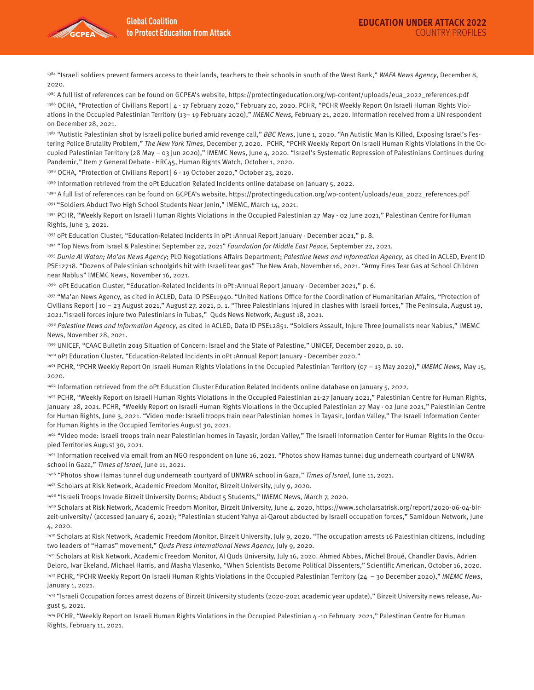

<sup>1384</sup> "Israeli soldiers prevent farmers access to their lands, teachers to their schools in south of the West Bank," *WAFA News Agency*, December 8, 2020.

1385 A full list of references can be found on GCPEA's website, https://protectingeducation.org/wp-content/uploads/eua\_2022\_references.pdf <sup>1386</sup> OCHA, "Protection of Civilians Report | 4 - 17 February 2020," February 20, 2020. PCHR, "PCHR Weekly Report On Israeli Human Rights Violations in the Occupied Palestinian Territory (13-19 February 2020)," IMEMC News, February 21, 2020. Information received from a UN respondent on December 28, 2021.

<sup>1387</sup> "Autistic Palestinian shot by Israeli police buried amid revenge call," BBC News, June 1, 2020. "An Autistic Man Is Killed, Exposing Israel's Festering Police Brutality Problem," The New York Times, December 7, 2020. PCHR, "PCHR Weekly Report On Israeli Human Rights Violations in the Occupied Palestinian Territory (28 May – 03 Jun 2020)," IMEMC News, June 4, 2020. "Israel's Systematic Repression of Palestinians Continues during Pandemic," Item 7 General Debate - HRC45, Human Rights Watch, October 1, 2020.

1388 OCHA, "Protection of Civilians Report | 6 - 19 October 2020," October 23, 2020.

1389 Information retrieved from the oPt Education Related Incidents online database on January 5, 2022.

1390 A full list of references can be found on GCPEA's website, https://protectingeducation.org/wp-content/uploads/eua\_2022\_references.pdf

1391 "Soldiers Abduct Two High School Students Near Jenin," IMEMC, March 14, 2021.

<sup>1392</sup> PCHR, "Weekly Report on Israeli Human Rights Violations in the Occupied Palestinian 27 May - 02 June 2021," Palestinan Centre for Human Rights, June 3, 2021.

1393 oPt Education Cluster, "Education-Related Incidents in oPt : Annual Report January - December 2021," p. 8.

1394 "Top News from Israel & Palestine: September 22, 2021" Foundation for Middle East Peace, September 22, 2021.

1395 Dunia Al Watan; Ma'an News Agency; PLO Negotiations Affairs Department; Palestine News and Information Agency, as cited in ACLED, Event ID PSE12718. "Dozens of Palestinian schoolgirls hit with Israeli tear gas" The New Arab, November 16, 2021. "Army Fires Tear Gas at School Children near Nablus" IMEMC News, November 16, 2021.

1396 oPt Education Cluster, "Education-Related Incidents in oPt :Annual Report January - December 2021," p. 6.

1397 "Ma'an News Agency, as cited in ACLED, Data ID PSE11940. "United Nations Office for the Coordination of Humanitarian Affairs, "Protection of Civilians Report | 10 – 23 August 2021," August 27, 2021, p. 1. "Three Palestinians injured in clashes with Israeli forces," The Peninsula, August 19, 2021."Israeli forces injure two Palestinians in Tubas," Quds News Network, August 18, 2021.

1398 Palestine News and Information Agency, as cited in ACLED, Data ID PSE12851. "Soldiers Assault, Injure Three Journalists near Nablus," IMEMC News, November 28, 2021.

1399 UNICEF, "CAAC Bulletin 2019 Situation of Concern: Israel and the State of Palestine," UNICEF, December 2020, p. 10.

1400 oPt Education Cluster, "Education-Related Incidents in oPt :Annual Report January - December 2020."

1401 PCHR, "PCHR Weekly Report On Israeli Human Rights Violations in the Occupied Palestinian Territory (07 - 13 May 2020)," IMEMC News, May 15, 2020.

1402 Information retrieved from the oPt Education Cluster Education Related Incidents online database on January 5, 2022.

1403 PCHR, "Weekly Report on Israeli Human Rights Violations in the Occupied Palestinian 21-27 January 2021," Palestinian Centre for Human Rights, January 28, 2021. PCHR, "Weekly Report on Israeli Human Rights Violations in the Occupied Palestinian 27 May - 02 June 2021," Palestinian Centre for Human Rights, June 3, 2021. "Video mode: Israeli troops train near Palestinian homes in Tayasir, Jordan Valley," The Israeli Information Center for Human Rights in the Occupied Territories August 30, 2021.

1404 "Video mode: Israeli troops train near Palestinian homes in Tayasir, Jordan Valley," The Israeli Information Center for Human Rights in the Occupied Territories August 30, 2021.

1405 Information received via email from an NGO respondent on June 16, 2021. "Photos show Hamas tunnel dug underneath courtyard of UNWRA school in Gaza," Times of Israel, June 11, 2021.

<sup>1406</sup> "Photos show Hamas tunnel dug underneath courtyard of UNWRA school in Gaza," Times of Israel, June 11, 2021.

1407 Scholars at Risk Network, Academic Freedom Monitor, Birzeit University, July 9, 2020.

1408 "Israeli Troops Invade Birzeit University Dorms; Abduct 5 Students," IMEMC News, March 7, 2020.

1409 Scholars at Risk Network, Academic Freedom Monitor, Birzeit University, June 4, 2020, https://www.scholarsatrisk.org/report/2020-06-04-birzeit-university/ (accessed January 6, 2021); "Palestinian student Yahya al-Qarout abducted by Israeli occupation forces," Samidoun Network, June 4, 2020.

1410 Scholars at Risk Network, Academic Freedom Monitor, Birzeit University, July 9, 2020. "The occupation arrests 16 Palestinian citizens, including two leaders of "Hamas" movement," Quds Press International News Agency, July 9, 2020.

1411 Scholars at Risk Network, Academic Freedom Monitor, Al Quds University, July 16, 2020. Ahmed Abbes, Michel Broué, Chandler Davis, Adrien Deloro, Ivar Ekeland, Michael Harris, and Masha Vlasenko, "When Scientists Become Political Dissenters," Scientific American, October 16, 2020.

 $1412$  PCHR, "PCHR Weekly Report On Israeli Human Rights Violations in the Occupied Palestinian Territory (24 - 30 December 2020)," IMEMC News, January 1, 2021.

1413 "Israeli Occupation forces arrest dozens of Birzeit University students (2020-2021 academic year update)," Birzeit University news release, August 5, 2021.

1414 PCHR, "Weekly Report on Israeli Human Rights Violations in the Occupied Palestinian 4 -10 February 2021," Palestinan Centre for Human Rights, February 11, 2021.